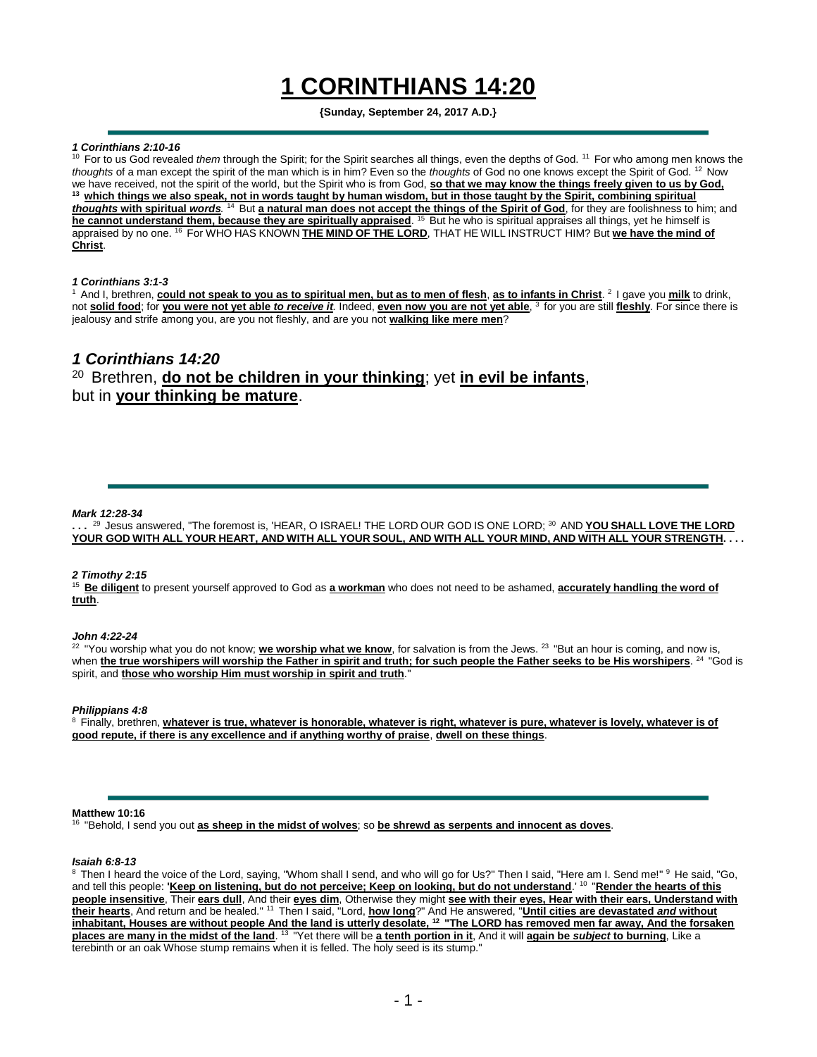# **1 CORINTHIANS 14:20**

# **{Sunday, September 24, 2017 A.D.}**

# *1 Corinthians 2:10-16*

<sup>10</sup> For to us God revealed *them* through the Spirit; for the Spirit searches all things, even the depths of God. <sup>11</sup> For who among men knows the *thoughts* of a man except the spirit of the man which is in him? Even so the *thoughts* of God no one knows except the Spirit of God. <sup>12</sup> Now we have received, not the spirit of the world, but the Spirit who is from God, **so that we may know the things freely given to us by God, <sup>13</sup>which things we also speak, not in words taught by human wisdom, but in those taught by the Spirit, combining spiritual thoughts with spiritual words**. <sup>14</sup> But a natural man does not accept the things of the Spirit of God, for they are foolishness to him; and he cannot understand them, because they are spiritually appraised. <sup>15</sup> But he who is spiritual appraises all things, yet he himself is appraised by no one. <sup>16</sup> For WHO HAS KNOWN **THE MIND OF THE LORD**, THAT HE WILL INSTRUCT HIM? But we have the mind of **Christ**.

## *1 Corinthians 3:1-3*

<sup>1</sup> And I, brethren, could not speak to you as to spiritual men, but as to men of flesh, <u>as to infants in Christ</u>. <sup>2</sup> I gave you <u>milk</u> to drink, not **solid food**; for **you were not yet able** *to receive it.* Indeed, **even now you are not yet able**, <sup>3</sup>for you are still **fleshly**. For since there is jealousy and strife among you, are you not fleshly, and are you not **walking like mere men**?

# *1 Corinthians 14:20* <sup>20</sup> Brethren, **do not be children in your thinking**; yet in evil be infants, but in **your thinking be mature**.

## *Mark 12:28-34*

**. . .** <sup>29</sup>Jesus answered, "The foremost is, 'HEAR, O ISRAEL! THE LORD OUR GOD IS ONE LORD; <sup>30</sup>AND **YOU SHALL LOVE THE LORD** YOUR GOD WITH ALL YOUR HEART, AND WITH ALL YOUR SOUL, AND WITH ALL YOUR MIND, AND WITH ALL YOUR STRENGTH. .

## *2 Timothy 2:15*

<sup>15</sup> Be diligent to present yourself approved to God as a workman who does not need to be ashamed, accurately handling the word of **truth**.

# *John 4:22-24*

<sup>22</sup> "You worship what you do not know; we worship what we know, for salvation is from the Jews. <sup>23</sup> "But an hour is coming, and now is, when the true worshipers will worship the Father in spirit and truth; for such people the Father seeks to be His worshipers. <sup>24</sup> "God is spirit, and **those who worship Him must worship in spirit and truth**."

*Philippians 4:8*

<sup>8</sup> Finally, brethren, *whatever is true, whatever is honorable, whatever is right, whatever is pure, whatever is lovely, whatever is of* **good repute, if there is any excellence and if anything worthy of praise**, **dwell on these things**.

#### **Matthew 10:16**

<sup>16</sup>"Behold, I send you out **as sheep in the midst of wolves**; so **be shrewd as serpents and innocent as doves**.

#### *Isaiah 6:8-13*

<sup>8</sup> Then I heard the voice of the Lord, saying, "Whom shall I send, and who will go for Us?" Then I said, "Here am I. Send me!" <sup>9</sup> He said, "Go, and tell this people: **'Keep on listening, but do not perceive; Keep on looking, but do not understand**.' <sup>10</sup> "**Render the hearts of this people insensitive**, Their **ears dull**, And their **eyes dim**, Otherwise they might **see with their eyes, Hear with their ears, Understand with their hearts**, And return and be healed." <sup>11</sup>Then I said, "Lord, **how long**?" And He answered, "**Until cities are devastated** *and* **without inhabitant, Houses are without people And the land is utterly desolate, <sup>12</sup>"The LORD has removed men far away, And the forsaken places are many in the midst of the land**. <sup>13</sup>"Yet there will be **a tenth portion in it**, And it will **again be** *subject* **to burning**, Like a terebinth or an oak Whose stump remains when it is felled. The holy seed is its stump."